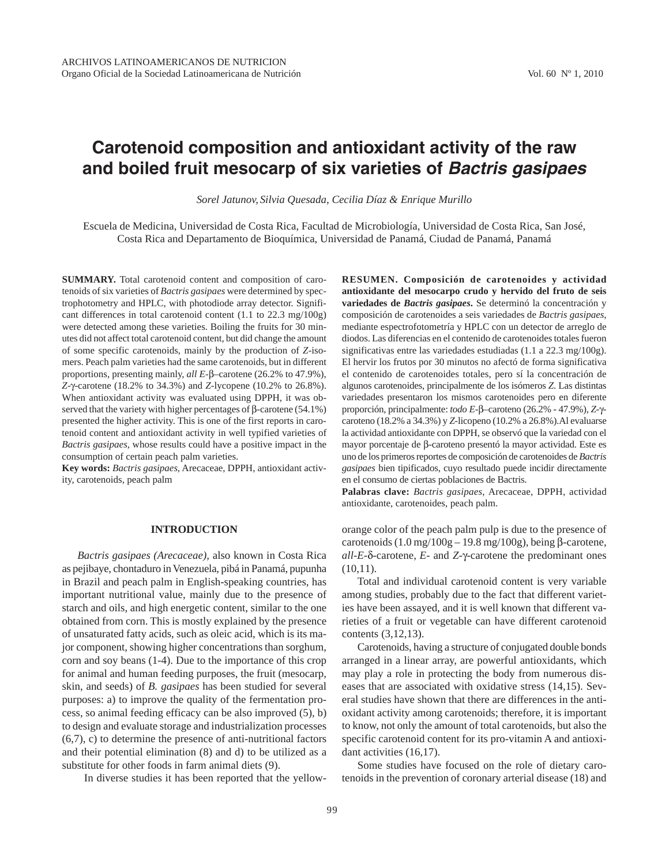# **Carotenoid composition and antioxidant activity of the raw and boiled fruit mesocarp of six varieties of Bactris gasipaes**

*Sorel Jatunov, Silvia Quesada, Cecilia Díaz & Enrique Murillo*

Escuela de Medicina, Universidad de Costa Rica, Facultad de Microbiología, Universidad de Costa Rica, San José, Costa Rica and Departamento de Bioquímica, Universidad de Panamá, Ciudad de Panamá, Panamá

**SUMMARY.** Total carotenoid content and composition of carotenoids of six varieties of *Bactris gasipaes* were determined by spectrophotometry and HPLC, with photodiode array detector. Significant differences in total carotenoid content (1.1 to 22.3 mg/100g) were detected among these varieties. Boiling the fruits for 30 minutes did not affect total carotenoid content, but did change the amount of some specific carotenoids, mainly by the production of *Z*-isomers. Peach palm varieties had the same carotenoids, but in different proportions, presenting mainly, *all E-*β*–*carotene (26.2% to 47.9%), *Z-*γ*-*carotene (18.2% to 34.3%) and *Z-*lycopene (10.2% to 26.8%). When antioxidant activity was evaluated using DPPH, it was observed that the variety with higher percentages of β-carotene (54.1%) presented the higher activity. This is one of the first reports in carotenoid content and antioxidant activity in well typified varieties of *Bactris gasipaes*, whose results could have a positive impact in the consumption of certain peach palm varieties.

**Key words:** *Bactris gasipaes*, Arecaceae, DPPH, antioxidant activity, carotenoids, peach palm

## **INTRODUCTION**

*Bactris gasipaes (Arecaceae),* also known in Costa Rica as pejibaye, chontaduro in Venezuela, pibá in Panamá, pupunha in Brazil and peach palm in English-speaking countries, has important nutritional value, mainly due to the presence of starch and oils, and high energetic content, similar to the one obtained from corn. This is mostly explained by the presence of unsaturated fatty acids, such as oleic acid, which is its major component, showing higher concentrations than sorghum, corn and soy beans (1-4). Due to the importance of this crop for animal and human feeding purposes, the fruit (mesocarp, skin, and seeds) of *B. gasipaes* has been studied for several purposes: a) to improve the quality of the fermentation process, so animal feeding efficacy can be also improved (5), b) to design and evaluate storage and industrialization processes (6,7), c) to determine the presence of anti-nutritional factors and their potential elimination (8) and d) to be utilized as a substitute for other foods in farm animal diets (9).

In diverse studies it has been reported that the yellow-

**RESUMEN. Composición de carotenoides y actividad antioxidante del mesocarpo crudo y hervido del fruto de seis variedades de** *Bactris gasipaes***.** Se determinó la concentración y composición de carotenoides a seis variedades de *Bactris gasipaes*, mediante espectrofotometría y HPLC con un detector de arreglo de diodos. Las diferencias en el contenido de carotenoides totales fueron significativas entre las variedades estudiadas (1.1 a 22.3 mg/100g). El hervir los frutos por 30 minutos no afectó de forma significativa el contenido de carotenoides totales, pero sí la concentración de algunos carotenoides, principalmente de los isómeros *Z*. Las distintas variedades presentaron los mismos carotenoides pero en diferente proporción, principalmente: *todo E-*β*–*caroteno (26.2% - 47.9%), *Z-*γcaroteno (18.2% a 34.3%) y *Z-*licopeno (10.2% a 26.8%).Al evaluarse la actividad antioxidante con DPPH, se observó que la variedad con el mayor porcentaje de β-caroteno presentó la mayor actividad. Este es uno de los primeros reportes de composición de carotenoides de *Bactris gasipaes* bien tipificados, cuyo resultado puede incidir directamente en el consumo de ciertas poblaciones de Bactris.

**Palabras clave:** *Bactris gasipaes*, Arecaceae, DPPH, actividad antioxidante, carotenoides, peach palm.

orange color of the peach palm pulp is due to the presence of carotenoids  $(1.0 \text{ mg}/100 \text{g} - 19.8 \text{ mg}/100 \text{g})$ , being β-carotene, *all-E-*δ*-*carotene, *E*- and *Z-*γ-carotene the predominant ones  $(10,11)$ .

Total and individual carotenoid content is very variable among studies, probably due to the fact that different varieties have been assayed, and it is well known that different varieties of a fruit or vegetable can have different carotenoid contents (3,12,13).

Carotenoids, having a structure of conjugated double bonds arranged in a linear array, are powerful antioxidants, which may play a role in protecting the body from numerous diseases that are associated with oxidative stress (14,15). Several studies have shown that there are differences in the antioxidant activity among carotenoids; therefore, it is important to know, not only the amount of total carotenoids, but also the specific carotenoid content for its pro-vitamin A and antioxidant activities (16,17).

Some studies have focused on the role of dietary carotenoids in the prevention of coronary arterial disease (18) and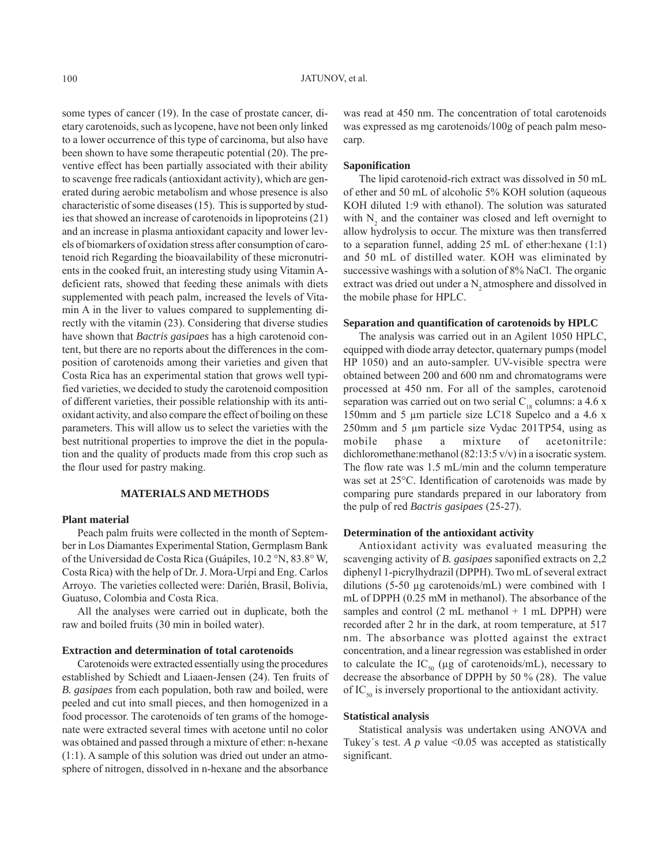some types of cancer (19). In the case of prostate cancer, dietary carotenoids, such as lycopene, have not been only linked to a lower occurrence of this type of carcinoma, but also have been shown to have some therapeutic potential (20). The preventive effect has been partially associated with their ability to scavenge free radicals (antioxidant activity), which are generated during aerobic metabolism and whose presence is also characteristic of some diseases (15). This is supported by studies that showed an increase of carotenoids in lipoproteins (21) and an increase in plasma antioxidant capacity and lower levels of biomarkers of oxidation stress after consumption of carotenoid rich Regarding the bioavailability of these micronutrients in the cooked fruit, an interesting study using Vitamin Adeficient rats, showed that feeding these animals with diets supplemented with peach palm, increased the levels of Vitamin A in the liver to values compared to supplementing directly with the vitamin (23). Considering that diverse studies have shown that *Bactris gasipaes* has a high carotenoid content, but there are no reports about the differences in the composition of carotenoids among their varieties and given that Costa Rica has an experimental station that grows well typified varieties, we decided to study the carotenoid composition of different varieties, their possible relationship with its antioxidant activity, and also compare the effect of boiling on these parameters. This will allow us to select the varieties with the best nutritional properties to improve the diet in the population and the quality of products made from this crop such as the flour used for pastry making.

## **MATERIALS AND METHODS**

## **Plant material**

Peach palm fruits were collected in the month of September in Los Diamantes Experimental Station, Germplasm Bank of the Universidad de Costa Rica (Guápiles, 10.2 °N, 83.8° W, Costa Rica) with the help of Dr. J. Mora-Urpí and Eng. Carlos Arroyo. The varieties collected were: Darién, Brasil, Bolivia, Guatuso, Colombia and Costa Rica.

All the analyses were carried out in duplicate, both the raw and boiled fruits (30 min in boiled water).

#### **Extraction and determination of total carotenoids**

Carotenoids were extracted essentially using the procedures established by Schiedt and Liaaen-Jensen (24). Ten fruits of *B. gasipaes* from each population, both raw and boiled, were peeled and cut into small pieces, and then homogenized in a food processor. The carotenoids of ten grams of the homogenate were extracted several times with acetone until no color was obtained and passed through a mixture of ether: n-hexane (1:1). A sample of this solution was dried out under an atmosphere of nitrogen, dissolved in n-hexane and the absorbance

was read at 450 nm. The concentration of total carotenoids was expressed as mg carotenoids/100g of peach palm mesocarp.

#### **Saponification**

The lipid carotenoid-rich extract was dissolved in 50 mL of ether and 50 mL of alcoholic 5% KOH solution (aqueous KOH diluted 1:9 with ethanol). The solution was saturated with  $N_2$  and the container was closed and left overnight to allow hydrolysis to occur. The mixture was then transferred to a separation funnel, adding 25 mL of ether:hexane (1:1) and 50 mL of distilled water. KOH was eliminated by successive washings with a solution of 8% NaCl. The organic extract was dried out under a N<sub>2</sub> atmosphere and dissolved in the mobile phase for HPLC.

## **Separation and quantification of carotenoids by HPLC**

The analysis was carried out in an Agilent 1050 HPLC, equipped with diode array detector, quaternary pumps (model HP 1050) and an auto-sampler. UV-visible spectra were obtained between 200 and 600 nm and chromatograms were processed at 450 nm. For all of the samples, carotenoid separation was carried out on two serial  $C_{18}$  columns: a 4.6 x 150mm and 5 μm particle size LC18 Supelco and a 4.6 x 250mm and 5 μm particle size Vydac 201TP54, using as mobile phase a mixture of acetonitrile: dichloromethane: methanol (82:13:5 v/v) in a isocratic system. The flow rate was 1.5 mL/min and the column temperature was set at 25°C. Identification of carotenoids was made by comparing pure standards prepared in our laboratory from the pulp of red *Bactris gasipaes* (25-27).

## **Determination of the antioxidant activity**

Antioxidant activity was evaluated measuring the scavenging activity of *B. gasipaes* saponified extracts on 2,2 diphenyl 1-picrylhydrazil (DPPH). Two mL of several extract dilutions (5-50 μg carotenoids/mL) were combined with 1 mL of DPPH (0.25 mM in methanol). The absorbance of the samples and control  $(2 \text{ mL methanol} + 1 \text{ mL DPPH})$  were recorded after 2 hr in the dark, at room temperature, at 517 nm. The absorbance was plotted against the extract concentration, and a linear regression was established in order to calculate the IC<sub>50</sub> (μg of carotenoids/mL), necessary to decrease the absorbance of DPPH by 50 % (28). The value of IC<sub>50</sub> is inversely proportional to the antioxidant activity.

#### **Statistical analysis**

Statistical analysis was undertaken using ANOVA and Tukey's test. *A p* value  $\leq 0.05$  was accepted as statistically significant.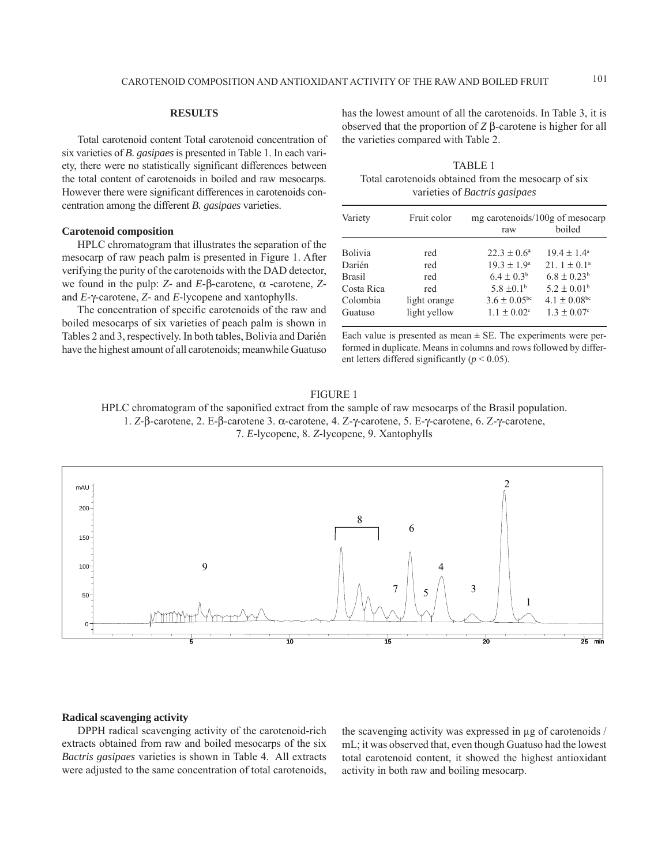## **RESULTS**

Total carotenoid content Total carotenoid concentration of six varieties of *B. gasipaes* is presented in Table 1. In each variety, there were no statistically significant differences between the total content of carotenoids in boiled and raw mesocarps. However there were significant differences in carotenoids concentration among the different *B. gasipaes* varieties.

# **Carotenoid composition**

HPLC chromatogram that illustrates the separation of the mesocarp of raw peach palm is presented in Figure 1. After verifying the purity of the carotenoids with the DAD detector, we found in the pulp: *Z-* and *E-*β*-*carotene, α *-*carotene, *Z*and *E-*γ-carotene, *Z-* and *E-*lycopene and xantophylls.

The concentration of specific carotenoids of the raw and boiled mesocarps of six varieties of peach palm is shown in Tables 2 and 3, respectively. In both tables, Bolivia and Darién have the highest amount of all carotenoids; meanwhile Guatuso has the lowest amount of all the carotenoids. In Table 3, it is observed that the proportion of *Z* β-carotene is higher for all the varieties compared with Table 2.

TABLE 1 Total carotenoids obtained from the mesocarp of six varieties of *Bactris gasipaes*

| Variety        | Fruit color  | mg carotenoids/100g of mesocarp |                              |  |  |  |
|----------------|--------------|---------------------------------|------------------------------|--|--|--|
|                |              | raw                             | boiled                       |  |  |  |
|                |              |                                 |                              |  |  |  |
| <b>Bolivia</b> | red          | $22.3 \pm 0.6^{\circ}$          | $19.4 \pm 1.4^{\circ}$       |  |  |  |
| Darién         | red          | $19.3 \pm 1.9^{\circ}$          | 21. $1 \pm 0.1^{\circ}$      |  |  |  |
| <b>Brasil</b>  | red          | $6.4 \pm 0.3^b$                 | $6.8 \pm 0.23^b$             |  |  |  |
| Costa Rica     | red          | $5.8 \pm 0.1^{\circ}$           | $5.2 \pm 0.01^{\rm b}$       |  |  |  |
| Colombia       | light orange | $3.6 \pm 0.05$ <sup>bc</sup>    | $4.1 \pm 0.08$ <sup>bc</sup> |  |  |  |
| Guatuso        | light yellow | $1.1 \pm 0.02$ <sup>c</sup>     | $1.3 \pm 0.07$ <sup>c</sup>  |  |  |  |

Each value is presented as mean  $\pm$  SE. The experiments were performed in duplicate. Means in columns and rows followed by different letters differed significantly (*p* < 0.05).

## FIGURE 1

HPLC chromatogram of the saponified extract from the sample of raw mesocarps of the Brasil population.

1. *Z-*β-carotene, 2. E-β-carotene 3. α-carotene, 4. Z-γ-carotene, 5. E-γ-carotene, 6. Z-γ-carotene,

7. *E-*lycopene, 8. *Z-*lycopene, 9. Xantophylls



## **Radical scavenging activity**

DPPH radical scavenging activity of the carotenoid-rich extracts obtained from raw and boiled mesocarps of the six *Bactris gasipaes* varieties is shown in Table 4. All extracts were adjusted to the same concentration of total carotenoids,

the scavenging activity was expressed in μg of carotenoids / mL; it was observed that, even though Guatuso had the lowest total carotenoid content, it showed the highest antioxidant activity in both raw and boiling mesocarp.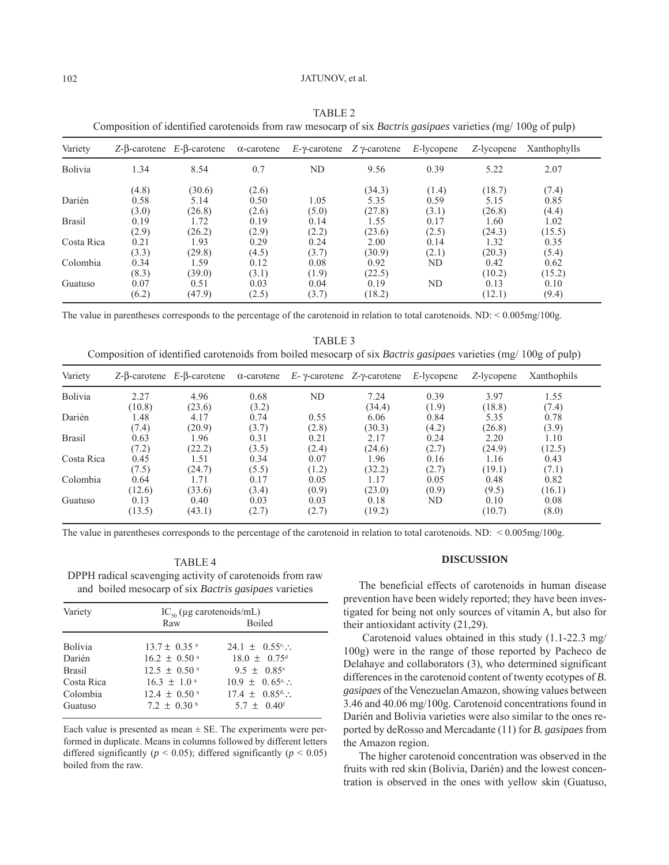## 102 JATUNOV, et al.

| Variety       |       | $Z$ -β-carotene $E$ -β-carotene | $\alpha$ -carotene | $E$ - $\gamma$ -carotene | $Z$ γ-carotene | $E$ -lycopene | Z-lycopene | Xanthophylls |
|---------------|-------|---------------------------------|--------------------|--------------------------|----------------|---------------|------------|--------------|
| Bolivia       | 1.34  | 8.54                            | 0.7                | ND                       | 9.56           | 0.39          | 5.22       | 2.07         |
|               | (4.8) | (30.6)                          | (2.6)              |                          | (34.3)         | (1.4)         | (18.7)     | (7.4)        |
| Darién        | 0.58  | 5.14                            | 0.50               | 1.05                     | 5.35           | 0.59          | 5.15       | 0.85         |
|               | (3.0) | (26.8)                          | (2.6)              | (5.0)                    | (27.8)         | (3.1)         | (26.8)     | (4.4)        |
| <b>Brasil</b> | 0.19  | 1.72                            | 0.19               | 0.14                     | 1.55           | 0.17          | 1.60       | 1.02         |
|               | (2.9) | (26.2)                          | (2.9)              | (2.2)                    | (23.6)         | (2.5)         | (24.3)     | (15.5)       |
| Costa Rica    | 0.21  | 1.93                            | 0.29               | 0.24                     | 2.00           | 0.14          | 1.32       | 0.35         |
|               | (3.3) | (29.8)                          | (4.5)              | (3.7)                    | (30.9)         | (2.1)         | (20.3)     | (5.4)        |
| Colombia      | 0.34  | 1.59                            | 0.12               | 0.08                     | 0.92           | ND            | 0.42       | 0.62         |
|               | (8.3) | (39.0)                          | (3.1)              | (1.9)                    | (22.5)         |               | (10.2)     | (15.2)       |
| Guatuso       | 0.07  | 0.51                            | 0.03               | 0.04                     | 0.19           | ND            | 0.13       | 0.10         |
|               | (6.2) | (47.9)                          | (2.5)              | (3.7)                    | (18.2)         |               | (12.1)     | (9.4)        |

TABLE 2 Composition of identified carotenoids from raw mesocarp of six *Bactris gasipaes* varieties *(*mg/ 100g of pulp)

The value in parentheses corresponds to the percentage of the carotenoid in relation to total carotenoids. ND: < 0.005mg/100g.

TABLE 3 Composition of identified carotenoids from boiled mesocarp of six *Bactris gasipaes* varieties (mg/ 100g of pulp)

| Variety        |                | $Z-\beta$ -carotene $E-\beta$ -carotene | $\alpha$ -carotene | $E$ - $\gamma$ -carotene $Z$ - $\gamma$ -carotene |                | $E$ -lycopene | Z-lycopene     | Xanthophils   |
|----------------|----------------|-----------------------------------------|--------------------|---------------------------------------------------|----------------|---------------|----------------|---------------|
| <b>Bolivia</b> | 2.27<br>(10.8) | 4.96<br>(23.6)                          | 0.68<br>(3.2)      | ND                                                | 7.24<br>(34.4) | 0.39<br>(1.9) | 3.97<br>(18.8) | 1.55<br>(7.4) |
| Darién         | 1.48           | 4.17                                    | 0.74               | 0.55                                              | 6.06           | 0.84          | 5.35           | 0.78          |
|                | (7.4)          | (20.9)                                  | (3.7)              | (2.8)                                             | (30.3)         | (4.2)         | (26.8)         | (3.9)         |
| <b>Brasil</b>  | 0.63           | 1.96                                    | 0.31               | 0.21                                              | 2.17           | 0.24          | 2.20           | 1.10          |
|                | (7.2)          | (22.2)                                  | (3.5)              | (2.4)                                             | (24.6)         | (2.7)         | (24.9)         | (12.5)        |
| Costa Rica     | 0.45           | 1.51                                    | 0.34               | 0.07                                              | 1.96           | 0.16          | 1.16           | 0.43          |
|                | (7.5)          | (24.7)                                  | (5.5)              | (1.2)                                             | (32.2)         | (2.7)         | (19.1)         | (7.1)         |
| Colombia       | 0.64           | 1.71                                    | 0.17               | 0.05                                              | 1.17           | 0.05          | 0.48           | 0.82          |
|                | (12.6)         | (33.6)                                  | (3.4)              | (0.9)                                             | (23.0)         | (0.9)         | (9.5)          | (16.1)        |
| Guatuso        | 0.13<br>(13.5) | 0.40<br>(43.1)                          | 0.03<br>(2.7)      | 0.03<br>(2.7)                                     | 0.18<br>(19.2) | ND            | 0.10<br>(10.7) | 0.08<br>(8.0) |

The value in parentheses corresponds to the percentage of the carotenoid in relation to total carotenoids. ND: < 0.005mg/100g.

## TABLE 4

DPPH radical scavenging activity of carotenoids from raw and boiled mesocarp of six *Bactris gasipaes* varieties

| Variety        | $IC_{50}$ (µg carotenoids/mL) |                              |  |  |  |
|----------------|-------------------------------|------------------------------|--|--|--|
|                | Raw                           | Boiled                       |  |  |  |
| <b>Bolívia</b> | $13.7 \pm 0.35$ <sup>a</sup>  | $24.1 \pm 0.55^{\circ}$ .    |  |  |  |
| Darién         | $16.2 \pm 0.50$ <sup>a</sup>  | $18.0 \pm 0.75$ <sup>d</sup> |  |  |  |
| <b>Brasil</b>  | $12.5 \pm 0.50$ <sup>a</sup>  | $9.5 \pm 0.85^{\circ}$       |  |  |  |
| Costa Rica     | $16.3 \pm 1.0^{\circ}$        | $10.9 \pm 0.65^{\circ}$ .    |  |  |  |
| Colombia       | $12.4 \pm 0.50$ <sup>a</sup>  | $17.4 \pm 0.85^{\text{d}}$ . |  |  |  |
| Guatuso        | $7.2 \pm 0.30^{\mathrm{b}}$   | $5.7 \pm 0.40$ <sup>f</sup>  |  |  |  |

Each value is presented as mean  $\pm$  SE. The experiments were performed in duplicate. Means in columns followed by different letters differed significantly ( $p < 0.05$ ); differed significantly ( $p < 0.05$ ) boiled from the raw.

# **DISCUSSION**

The beneficial effects of carotenoids in human disease prevention have been widely reported; they have been investigated for being not only sources of vitamin A, but also for their antioxidant activity (21,29).

 Carotenoid values obtained in this study (1.1-22.3 mg/ 100g) were in the range of those reported by Pacheco de Delahaye and collaborators (3), who determined significant differences in the carotenoid content of twenty ecotypes of *B. gasipaes* of the Venezuelan Amazon, showing values between 3.46 and 40.06 mg/100g. Carotenoid concentrations found in Darién and Bolivia varieties were also similar to the ones reported by deRosso and Mercadante (11) for *B. gasipaes* from the Amazon region.

The higher carotenoid concentration was observed in the fruits with red skin (Bolivia, Darién) and the lowest concentration is observed in the ones with yellow skin (Guatuso,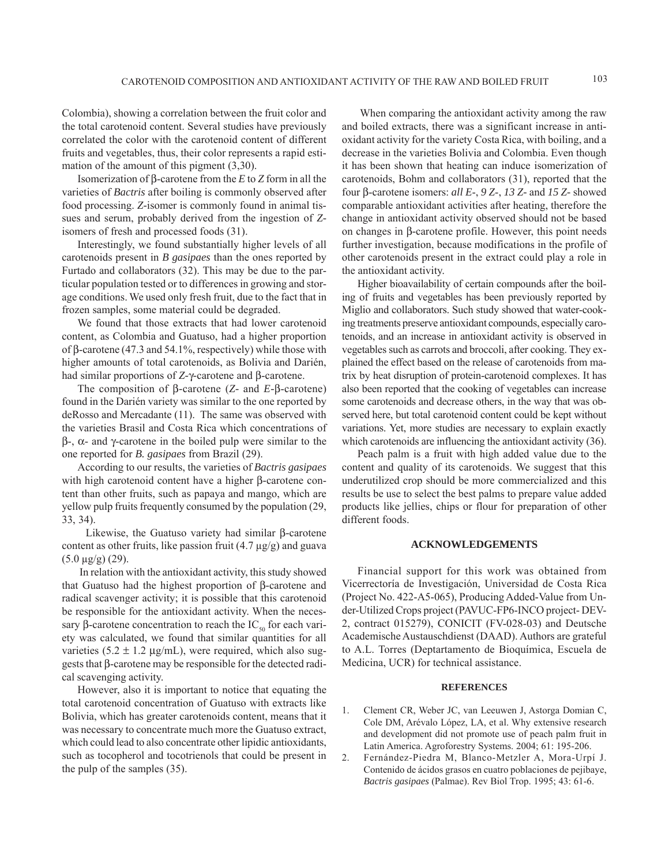Colombia), showing a correlation between the fruit color and the total carotenoid content. Several studies have previously correlated the color with the carotenoid content of different fruits and vegetables, thus, their color represents a rapid estimation of the amount of this pigment (3,30).

Isomerization of β-carotene from the *E* to *Z* form in all the varieties of *Bactris* after boiling is commonly observed after food processing. *Z-*isomer is commonly found in animal tissues and serum, probably derived from the ingestion of *Z*isomers of fresh and processed foods (31).

Interestingly, we found substantially higher levels of all carotenoids present in *B gasipaes* than the ones reported by Furtado and collaborators (32). This may be due to the particular population tested or to differences in growing and storage conditions. We used only fresh fruit, due to the fact that in frozen samples, some material could be degraded.

We found that those extracts that had lower carotenoid content, as Colombia and Guatuso, had a higher proportion of β-carotene (47.3 and 54.1%, respectively) while those with higher amounts of total carotenoids, as Bolivia and Darién, had similar proportions of *Z-*γ*-*carotene and β-carotene.

The composition of β*-*carotene (*Z-* and *E-*β-carotene) found in the Darién variety was similar to the one reported by deRosso and Mercadante (11). The same was observed with the varieties Brasil and Costa Rica which concentrations of β-, α- and γ-carotene in the boiled pulp were similar to the one reported for *B. gasipaes* from Brazil (29).

According to our results, the varieties of *Bactris gasipaes* with high carotenoid content have a higher β*-*carotene content than other fruits, such as papaya and mango, which are yellow pulp fruits frequently consumed by the population (29, 33, 34).

 Likewise, the Guatuso variety had similar β*-*carotene content as other fruits, like passion fruit  $(4.7 \mu g/g)$  and guava (5.0 μg/g) (29).

 In relation with the antioxidant activity, this study showed that Guatuso had the highest proportion of β*-*carotene and radical scavenger activity; it is possible that this carotenoid be responsible for the antioxidant activity. When the necessary β-carotene concentration to reach the  $IC_{50}$  for each variety was calculated, we found that similar quantities for all varieties  $(5.2 \pm 1.2 \,\mu\text{g/mL})$ , were required, which also suggests that β-carotene may be responsible for the detected radical scavenging activity.

However, also it is important to notice that equating the total carotenoid concentration of Guatuso with extracts like Bolivia, which has greater carotenoids content, means that it was necessary to concentrate much more the Guatuso extract, which could lead to also concentrate other lipidic antioxidants, such as tocopherol and tocotrienols that could be present in the pulp of the samples (35).

 When comparing the antioxidant activity among the raw and boiled extracts, there was a significant increase in antioxidant activity for the variety Costa Rica, with boiling, and a decrease in the varieties Bolivia and Colombia. Even though it has been shown that heating can induce isomerization of carotenoids, Bohm and collaborators (31), reported that the four β-carotene isomers: *all E*-, *9 Z*-, *13 Z-* and *15 Z-* showed comparable antioxidant activities after heating, therefore the change in antioxidant activity observed should not be based on changes in β*-*carotene profile. However, this point needs further investigation, because modifications in the profile of other carotenoids present in the extract could play a role in the antioxidant activity.

Higher bioavailability of certain compounds after the boiling of fruits and vegetables has been previously reported by Miglio and collaborators. Such study showed that water-cooking treatments preserve antioxidant compounds, especially carotenoids, and an increase in antioxidant activity is observed in vegetables such as carrots and broccoli, after cooking. They explained the effect based on the release of carotenoids from matrix by heat disruption of protein-carotenoid complexes. It has also been reported that the cooking of vegetables can increase some carotenoids and decrease others, in the way that was observed here, but total carotenoid content could be kept without variations. Yet, more studies are necessary to explain exactly which carotenoids are influencing the antioxidant activity (36).

Peach palm is a fruit with high added value due to the content and quality of its carotenoids. We suggest that this underutilized crop should be more commercialized and this results be use to select the best palms to prepare value added products like jellies, chips or flour for preparation of other different foods.

#### **ACKNOWLEDGEMENTS**

Financial support for this work was obtained from Vicerrectoría de Investigación, Universidad de Costa Rica (Project No. 422-A5-065), Producing Added-Value from Under-Utilized Crops project (PAVUC-FP6-INCO project- DEV-2, contract 015279), CONICIT (FV-028-03) and Deutsche Academische Austauschdienst (DAAD). Authors are grateful to A.L. Torres (Deptartamento de Bioquímica, Escuela de Medicina, UCR) for technical assistance.

## **REFERENCES**

- 1. Clement CR, Weber JC, van Leeuwen J, Astorga Domian C, Cole DM, Arévalo López, LA, et al. Why extensive research and development did not promote use of peach palm fruit in Latin America. Agroforestry Systems. 2004; 61: 195-206.
- 2. Fernández-Piedra M, Blanco-Metzler A, Mora-Urpí J. Contenido de ácidos grasos en cuatro poblaciones de pejibaye, *Bactris gasipaes* (Palmae). Rev Biol Trop. 1995; 43: 61-6.